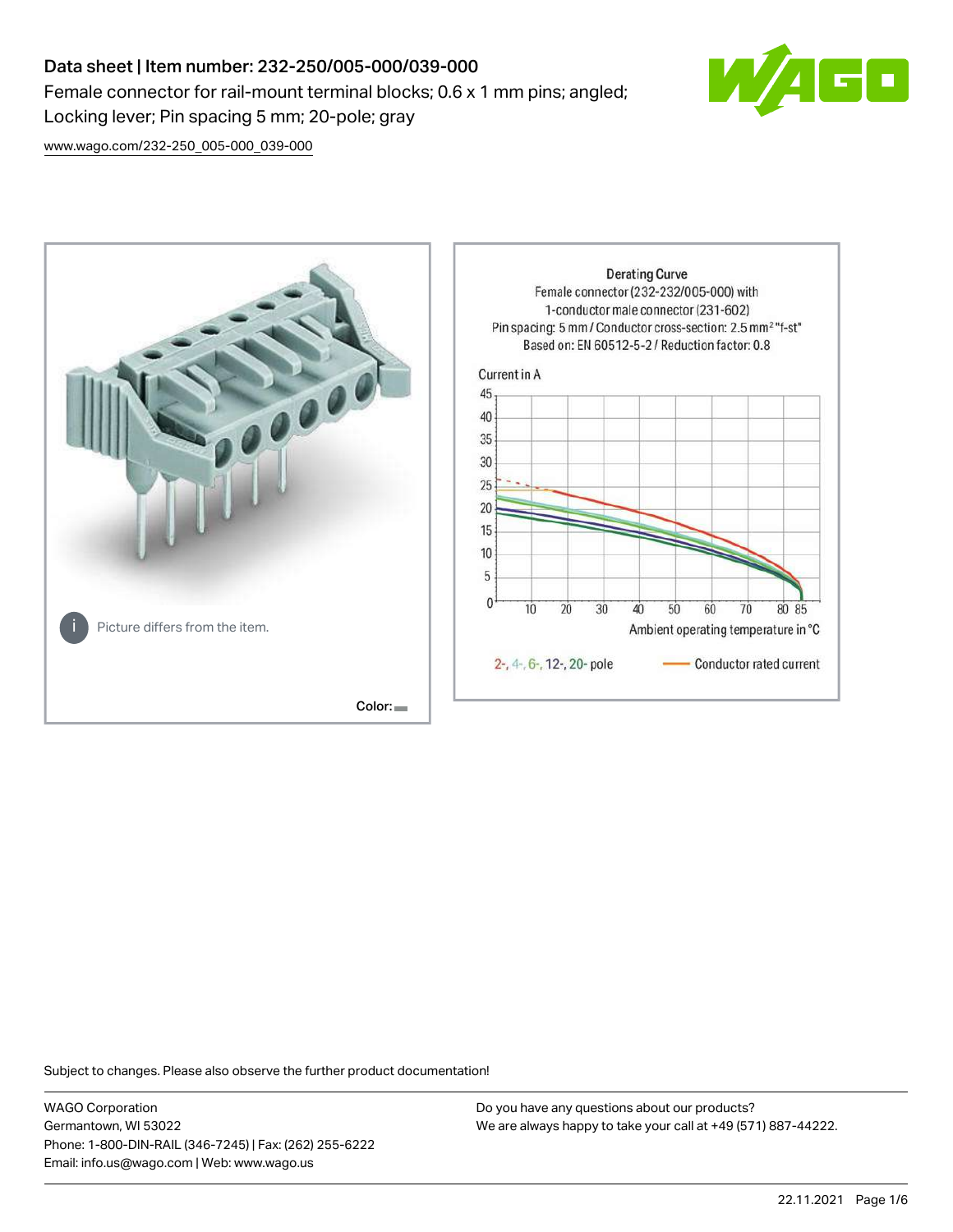## Data sheet | Item number: 232-250/005-000/039-000 Female connector for rail-mount terminal blocks; 0.6 x 1 mm pins; angled; Locking lever; Pin spacing 5 mm; 20-pole; gray



[www.wago.com/232-250\\_005-000\\_039-000](http://www.wago.com/232-250_005-000_039-000)



Subject to changes. Please also observe the further product documentation!

WAGO Corporation Germantown, WI 53022 Phone: 1-800-DIN-RAIL (346-7245) | Fax: (262) 255-6222 Email: info.us@wago.com | Web: www.wago.us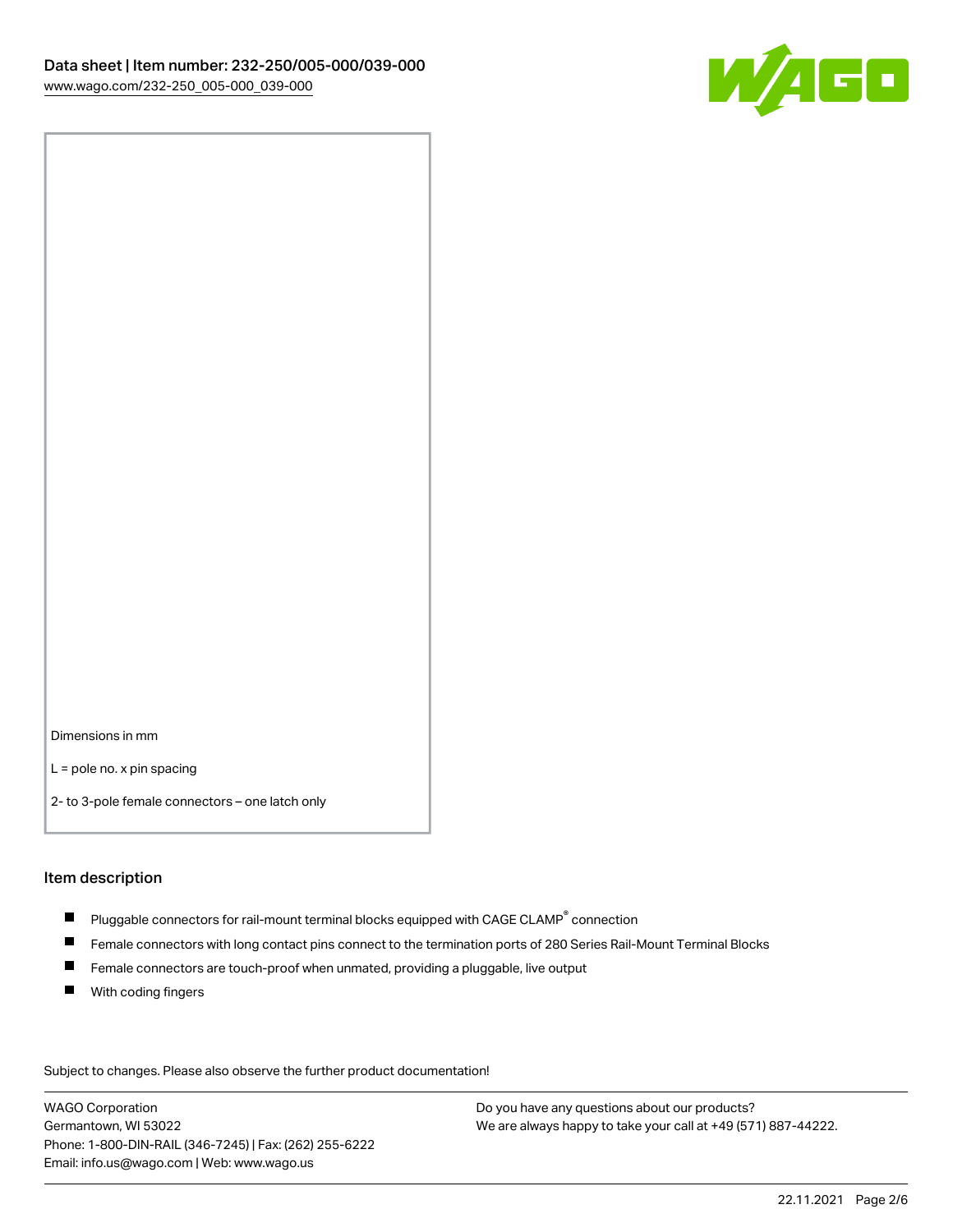

Dimensions in mm

L = pole no. x pin spacing

2- to 3-pole female connectors – one latch only

#### Item description

- $\blacksquare$  Pluggable connectors for rail-mount terminal blocks equipped with CAGE CLAMP $^\circ$  connection
- Female connectors with long contact pins connect to the termination ports of 280 Series Rail-Mount Terminal Blocks
- $\blacksquare$ Female connectors are touch-proof when unmated, providing a pluggable, live output
- $\blacksquare$ With coding fingers

Subject to changes. Please also observe the further product documentation! Data

WAGO Corporation Germantown, WI 53022 Phone: 1-800-DIN-RAIL (346-7245) | Fax: (262) 255-6222 Email: info.us@wago.com | Web: www.wago.us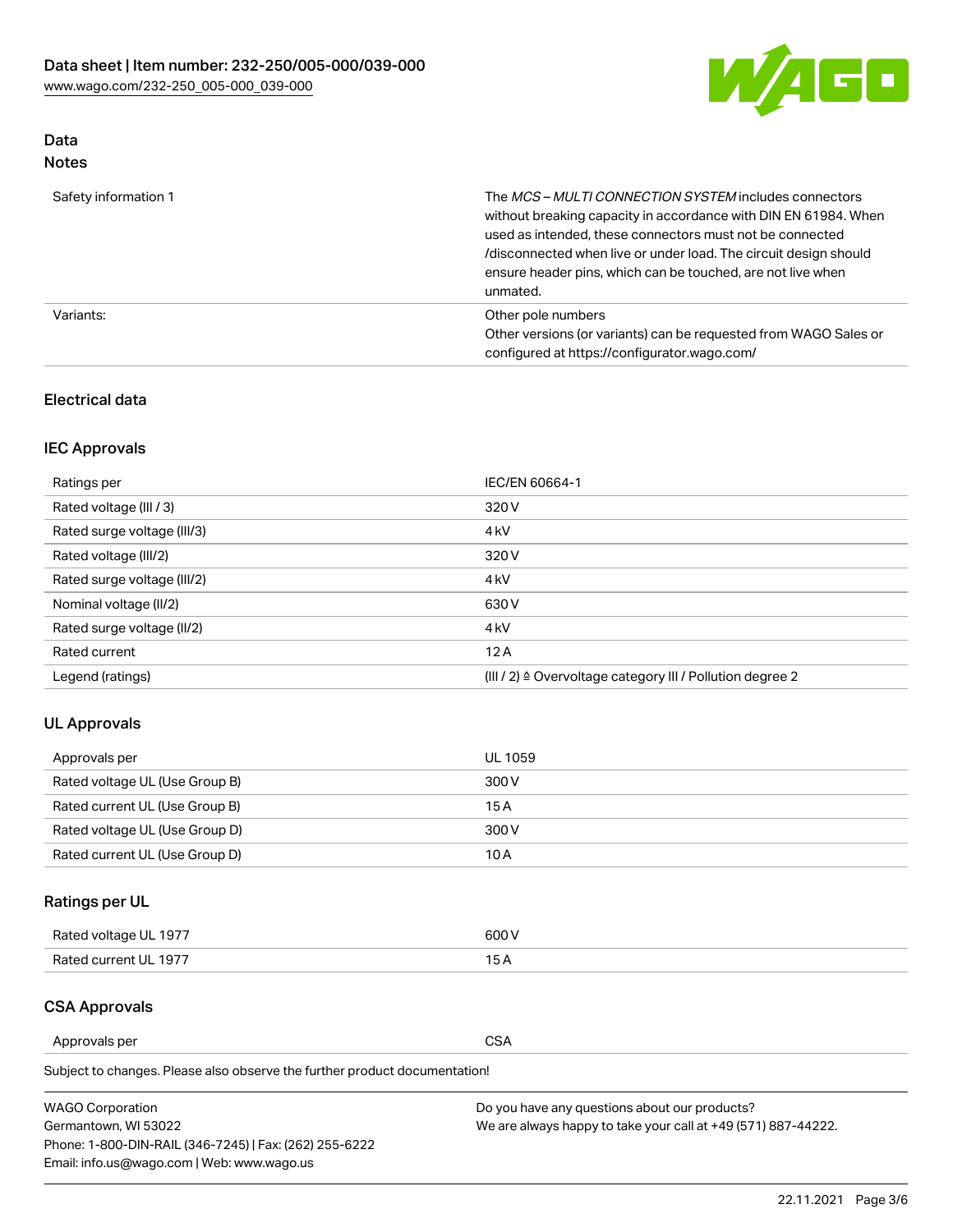

# Data

| Safety information 1 | The MCS-MULTI CONNECTION SYSTEM includes connectors<br>without breaking capacity in accordance with DIN EN 61984. When<br>used as intended, these connectors must not be connected<br>/disconnected when live or under load. The circuit design should<br>ensure header pins, which can be touched, are not live when<br>unmated. |
|----------------------|-----------------------------------------------------------------------------------------------------------------------------------------------------------------------------------------------------------------------------------------------------------------------------------------------------------------------------------|
| Variants:            | Other pole numbers<br>Other versions (or variants) can be requested from WAGO Sales or<br>configured at https://configurator.wago.com/                                                                                                                                                                                            |

### Electrical data

## IEC Approvals

| Ratings per                 | IEC/EN 60664-1                                                        |
|-----------------------------|-----------------------------------------------------------------------|
| Rated voltage (III / 3)     | 320 V                                                                 |
| Rated surge voltage (III/3) | 4 <sub>k</sub> V                                                      |
| Rated voltage (III/2)       | 320 V                                                                 |
| Rated surge voltage (III/2) | 4 <sub>k</sub> V                                                      |
| Nominal voltage (II/2)      | 630 V                                                                 |
| Rated surge voltage (II/2)  | 4 <sub>k</sub> V                                                      |
| Rated current               | 12A                                                                   |
| Legend (ratings)            | $(III / 2)$ $\triangle$ Overvoltage category III / Pollution degree 2 |

### UL Approvals

| Approvals per                  | UL 1059 |
|--------------------------------|---------|
| Rated voltage UL (Use Group B) | 300 V   |
| Rated current UL (Use Group B) | 15 A    |
| Rated voltage UL (Use Group D) | 300 V   |
| Rated current UL (Use Group D) | 10 A    |

## Ratings per UL

| Rated voltage UL 1977 | 300 V |
|-----------------------|-------|
| Rated current UL 1977 |       |

### CSA Approvals

Approvals per CSA

Subject to changes. Please also observe the further product documentation!

| <b>WAGO Corporation</b>                                | Do you have any questions about our products?                 |
|--------------------------------------------------------|---------------------------------------------------------------|
| Germantown, WI 53022                                   | We are always happy to take your call at +49 (571) 887-44222. |
| Phone: 1-800-DIN-RAIL (346-7245)   Fax: (262) 255-6222 |                                                               |
| Email: info.us@wago.com   Web: www.wago.us             |                                                               |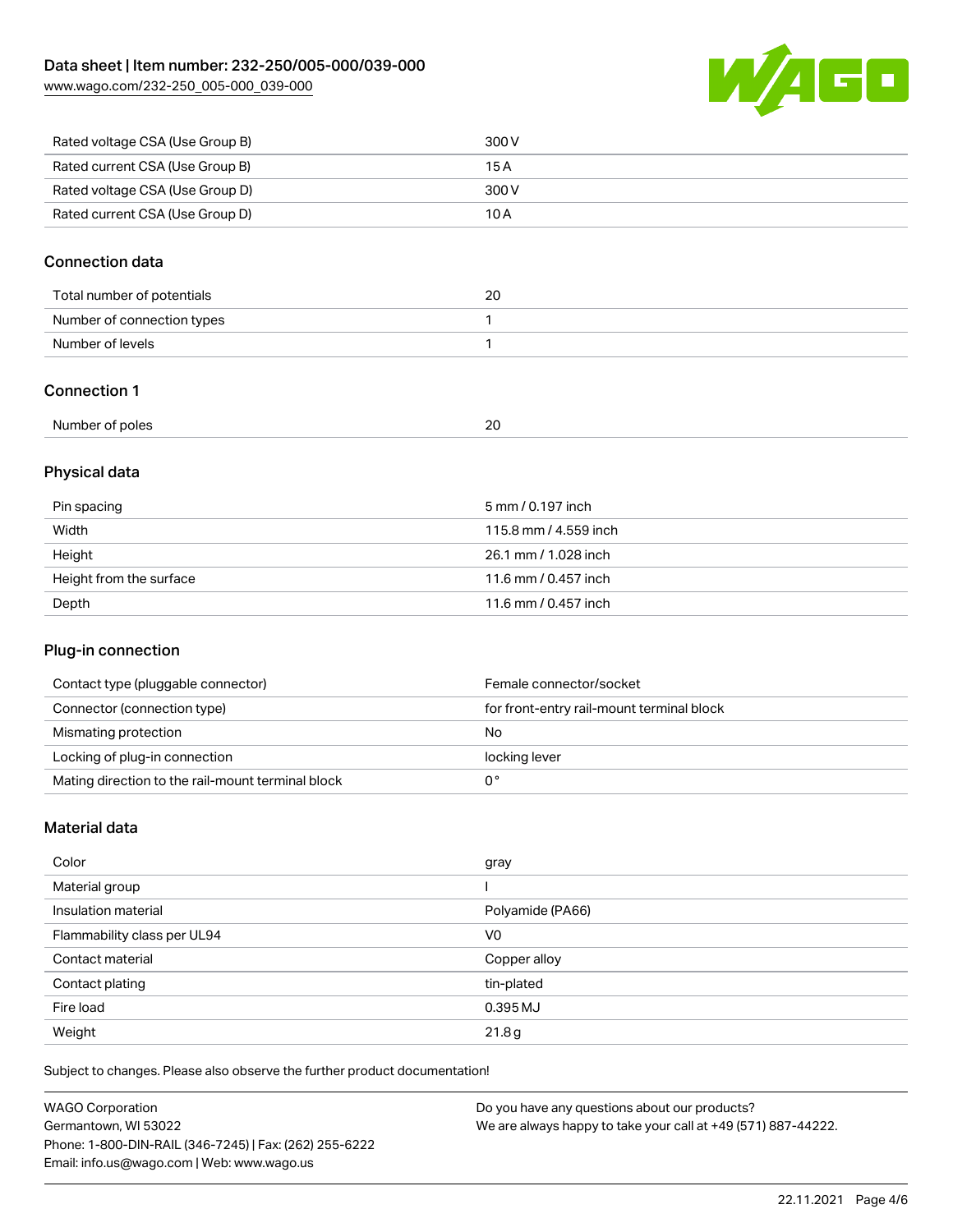[www.wago.com/232-250\\_005-000\\_039-000](http://www.wago.com/232-250_005-000_039-000)



| Rated voltage CSA (Use Group B) | 300 V |
|---------------------------------|-------|
| Rated current CSA (Use Group B) | 15 A  |
| Rated voltage CSA (Use Group D) | 300 V |
| Rated current CSA (Use Group D) | 10 A  |

#### Connection data

| Total number of potentials | 20 |
|----------------------------|----|
| Number of connection types |    |
| Number of levels           |    |

#### Connection 1

|--|

## Physical data

| Pin spacing             | 5 mm / 0.197 inch     |
|-------------------------|-----------------------|
| Width                   | 115.8 mm / 4.559 inch |
| Height                  | 26.1 mm / 1.028 inch  |
| Height from the surface | 11.6 mm / 0.457 inch  |
| Depth                   | 11.6 mm / 0.457 inch  |

#### Plug-in connection

| Contact type (pluggable connector)                | Female connector/socket                   |
|---------------------------------------------------|-------------------------------------------|
| Connector (connection type)                       | for front-entry rail-mount terminal block |
| Mismating protection                              | No                                        |
| Locking of plug-in connection                     | locking lever                             |
| Mating direction to the rail-mount terminal block |                                           |

## Material data

| Color                       | gray             |
|-----------------------------|------------------|
| Material group              |                  |
| Insulation material         | Polyamide (PA66) |
| Flammability class per UL94 | V <sub>0</sub>   |
| Contact material            | Copper alloy     |
| Contact plating             | tin-plated       |
| Fire load                   | 0.395 MJ         |
| Weight                      | 21.8g            |

Subject to changes. Please also observe the further product documentation!

| <b>WAGO Corporation</b>                                | Do you have any questions about our products?                 |
|--------------------------------------------------------|---------------------------------------------------------------|
| Germantown, WI 53022                                   | We are always happy to take your call at +49 (571) 887-44222. |
| Phone: 1-800-DIN-RAIL (346-7245)   Fax: (262) 255-6222 |                                                               |
| Email: info.us@wago.com   Web: www.wago.us             |                                                               |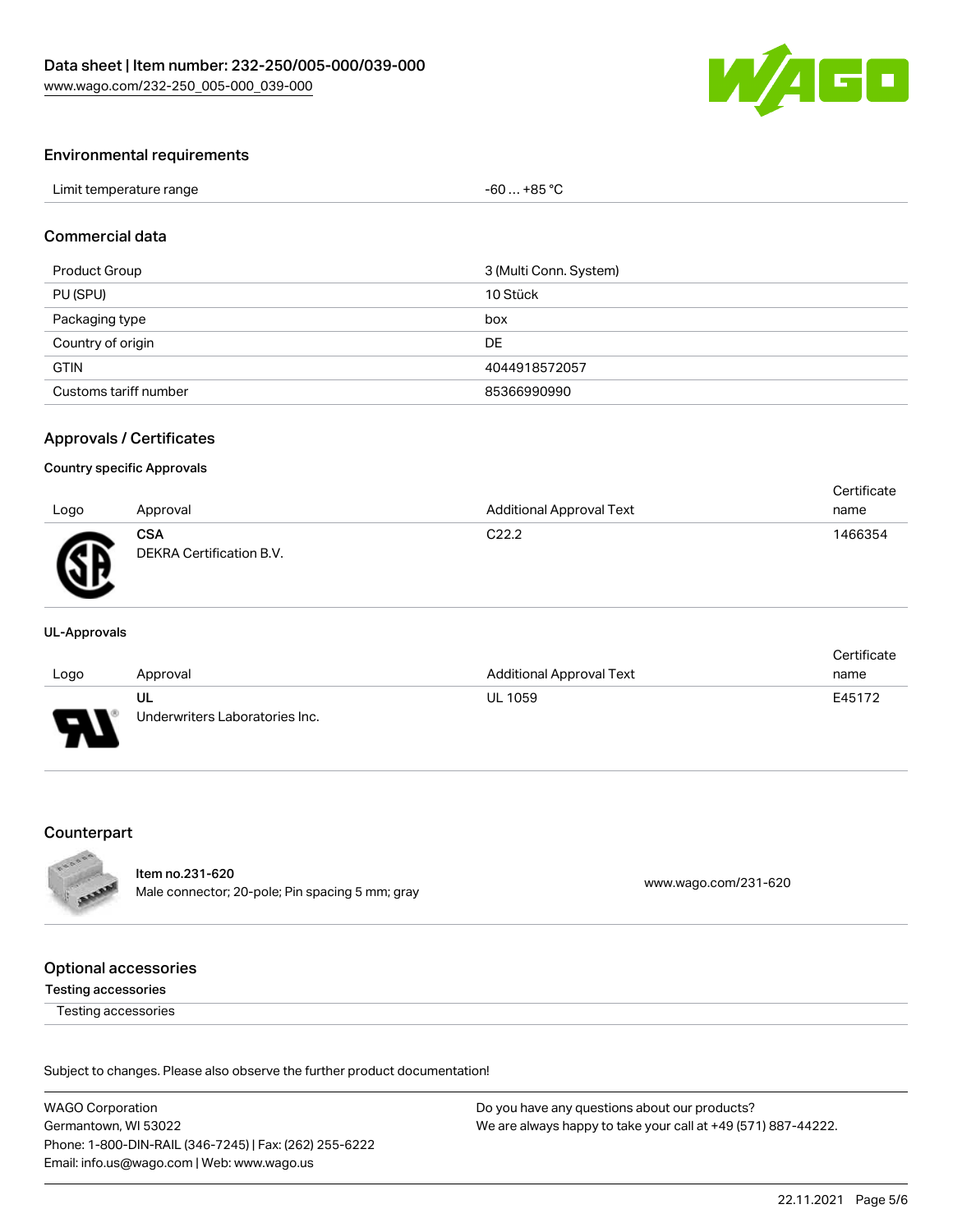

#### Environmental requirements

| Limit temperature range | $$ +85 °C<br>-60 |  |
|-------------------------|------------------|--|
|-------------------------|------------------|--|

#### Commercial data

| Product Group         | 3 (Multi Conn. System) |
|-----------------------|------------------------|
| PU (SPU)              | 10 Stück               |
| Packaging type        | box                    |
| Country of origin     | DE                     |
| <b>GTIN</b>           | 4044918572057          |
| Customs tariff number | 85366990990            |

#### Approvals / Certificates

#### Country specific Approvals

|      |                                        |                                 | Certificate |
|------|----------------------------------------|---------------------------------|-------------|
| Logo | Approval                               | <b>Additional Approval Text</b> | name        |
| Ж    | <b>CSA</b><br>DEKRA Certification B.V. | C <sub>22.2</sub>               | 1466354     |

#### UL-Approvals

|        |                                |                                 | Certificate |
|--------|--------------------------------|---------------------------------|-------------|
| Logo   | Approval                       | <b>Additional Approval Text</b> | name        |
|        | ul                             | <b>UL 1059</b>                  | E45172      |
| $\Box$ | Underwriters Laboratories Inc. |                                 |             |

#### Counterpart



Item no.231-620 nem 10.251-020<br>Male connector; 20-pole; Pin spacing 5 mm; gray [www.wago.com/231-620](https://www.wago.com/231-620)

#### Optional accessories

#### Testing accessories

Testing accessories

Subject to changes. Please also observe the further product documentation!

WAGO Corporation Germantown, WI 53022 Phone: 1-800-DIN-RAIL (346-7245) | Fax: (262) 255-6222 Email: info.us@wago.com | Web: www.wago.us